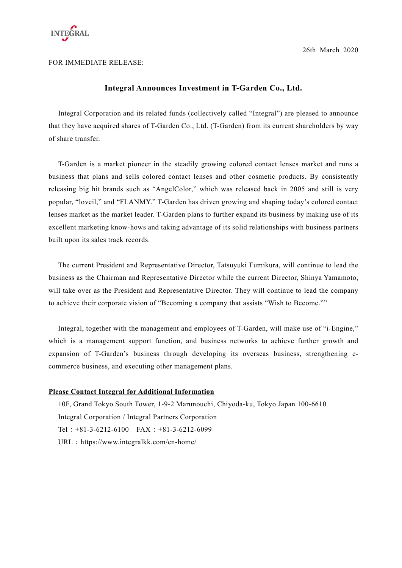

26th March 2020

FOR IMMEDIATE RELEASE:

## **Integral Announces Investment in T-Garden Co., Ltd.**

Integral Corporation and its related funds (collectively called "Integral") are pleased to announce that they have acquired shares of T-Garden Co., Ltd. (T-Garden) from its current shareholders by way of share transfer.

T-Garden is a market pioneer in the steadily growing colored contact lenses market and runs a business that plans and sells colored contact lenses and other cosmetic products. By consistently releasing big hit brands such as "AngelColor," which was released back in 2005 and still is very popular, "loveil," and "FLANMY." T-Garden has driven growing and shaping today's colored contact lenses market as the market leader. T-Garden plans to further expand its business by making use of its excellent marketing know-hows and taking advantage of its solid relationships with business partners built upon its sales track records.

The current President and Representative Director, Tatsuyuki Fumikura, will continue to lead the business as the Chairman and Representative Director while the current Director, Shinya Yamamoto, will take over as the President and Representative Director. They will continue to lead the company to achieve their corporate vision of "Becoming a company that assists "Wish to Become.""

Integral, together with the management and employees of T-Garden, will make use of "i-Engine," which is a management support function, and business networks to achieve further growth and expansion of T-Garden's business through developing its overseas business, strengthening ecommerce business, and executing other management plans.

## **Please Contact Integral for Additional Information**

10F, Grand Tokyo South Tower, 1-9-2 Marunouchi, Chiyoda-ku, Tokyo Japan 100-6610 Integral Corporation / Integral Partners Corporation Tel:+81-3-6212-6100 FAX:+81-3-6212-6099 URL: https://www.integralkk.com/en-home/